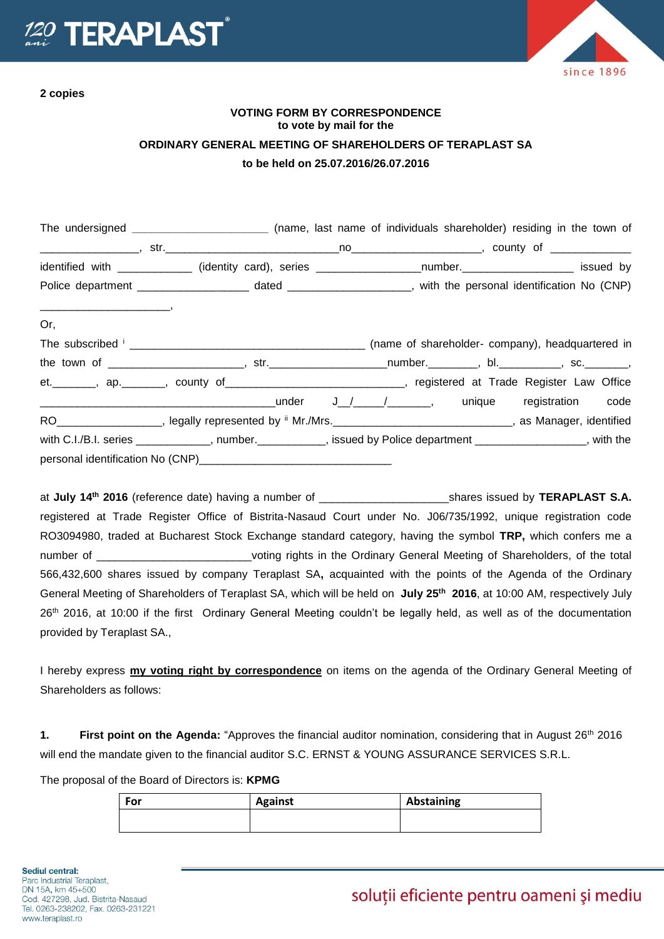

**2 copies**

since 1896

## **VOTING FORM BY CORRESPONDENCE to vote by mail for the ORDINARY GENERAL MEETING OF SHAREHOLDERS OF TERAPLAST SA to be held on 25.07.2016/26.07.2016**

|                                                                                                                                                                                                                                                                                                                                                                                                                                                                                         | The undersigned ___________________________ (name, last name of individuals shareholder) residing in the town of      |  |  |  |
|-----------------------------------------------------------------------------------------------------------------------------------------------------------------------------------------------------------------------------------------------------------------------------------------------------------------------------------------------------------------------------------------------------------------------------------------------------------------------------------------|-----------------------------------------------------------------------------------------------------------------------|--|--|--|
|                                                                                                                                                                                                                                                                                                                                                                                                                                                                                         |                                                                                                                       |  |  |  |
|                                                                                                                                                                                                                                                                                                                                                                                                                                                                                         | identified with _____________ (identity card), series __________________number.____________________ issued by         |  |  |  |
|                                                                                                                                                                                                                                                                                                                                                                                                                                                                                         | Police department __________________________ dated _______________________, with the personal identification No (CNP) |  |  |  |
| $\begin{tabular}{lllllllllllll} \multicolumn{3}{l}{} & \multicolumn{3}{l}{} & \multicolumn{3}{l}{} & \multicolumn{3}{l}{} & \multicolumn{3}{l}{} & \multicolumn{3}{l}{} & \multicolumn{3}{l}{} & \multicolumn{3}{l}{} & \multicolumn{3}{l}{} & \multicolumn{3}{l}{} & \multicolumn{3}{l}{} & \multicolumn{3}{l}{} & \multicolumn{3}{l}{} & \multicolumn{3}{l}{} & \multicolumn{3}{l}{} & \multicolumn{3}{l}{} & \multicolumn{3}{l}{} & \multicolumn{3}{l}{} & \multicolumn{3}{l$<br>Or, |                                                                                                                       |  |  |  |
|                                                                                                                                                                                                                                                                                                                                                                                                                                                                                         |                                                                                                                       |  |  |  |
|                                                                                                                                                                                                                                                                                                                                                                                                                                                                                         |                                                                                                                       |  |  |  |
|                                                                                                                                                                                                                                                                                                                                                                                                                                                                                         | et. _______, ap. _______, county of _____________________________, registered at Trade Register Law Office            |  |  |  |
|                                                                                                                                                                                                                                                                                                                                                                                                                                                                                         |                                                                                                                       |  |  |  |
|                                                                                                                                                                                                                                                                                                                                                                                                                                                                                         | RO___________________, legally represented by " Mr./Mrs.________________________________, as Manager, identified      |  |  |  |
|                                                                                                                                                                                                                                                                                                                                                                                                                                                                                         | with C.I./B.I. series ____________, number.__________, issued by Police department ________________, with the         |  |  |  |
|                                                                                                                                                                                                                                                                                                                                                                                                                                                                                         |                                                                                                                       |  |  |  |

at **July 14 th 2016** (reference date) having a number of \_\_\_\_\_\_\_\_\_\_\_\_\_\_\_\_\_\_\_\_\_shares issued by **TERAPLAST S.A.** registered at Trade Register Office of Bistrita-Nasaud Court under No. J06/735/1992, unique registration code RO3094980, traded at Bucharest Stock Exchange standard category, having the symbol **TRP,** which confers me a number of \_\_\_\_\_\_\_\_\_\_\_\_\_\_\_\_\_\_\_\_\_\_\_\_\_\_voting rights in the Ordinary General Meeting of Shareholders, of the total 566,432,600 shares issued by company Teraplast SA**,** acquainted with the points of the Agenda of the Ordinary General Meeting of Shareholders of Teraplast SA, which will be held on **July 25th 2016**, at 10:00 AM, respectively July 26th 2016, at 10:00 if the first Ordinary General Meeting couldn't be legally held, as well as of the documentation provided by Teraplast SA.,

I hereby express **my voting right by correspondence** on items on the agenda of the Ordinary General Meeting of Shareholders as follows:

**1. First point on the Agenda:** "Approves the financial auditor nomination, considering that in August 26th 2016 will end the mandate given to the financial auditor S.C. ERNST & YOUNG ASSURANCE SERVICES S.R.L.

The proposal of the Board of Directors is: **KPMG**

| For | <b>Against</b> | Abstaining |
|-----|----------------|------------|
|     |                |            |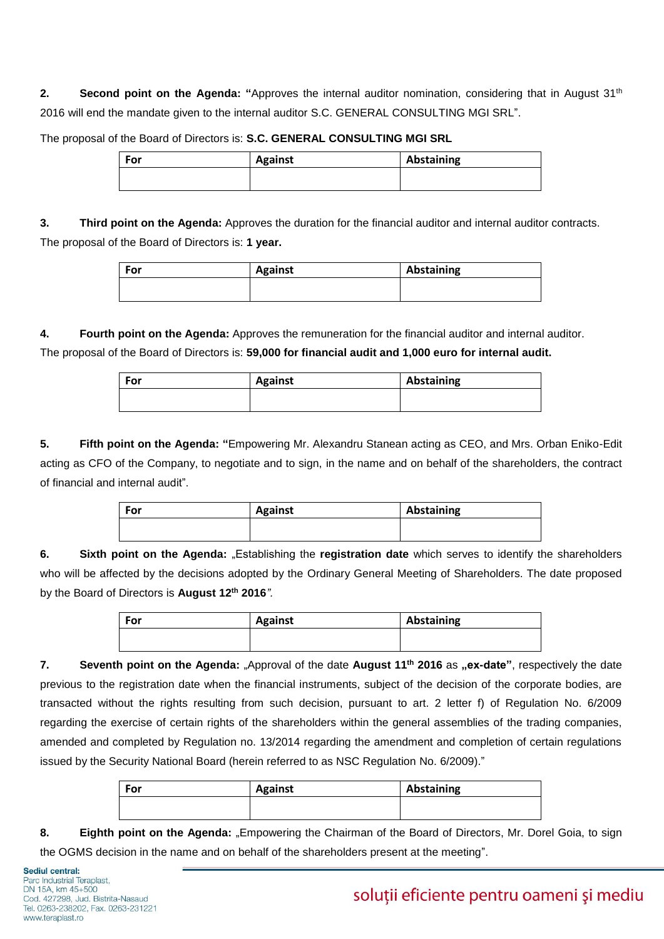**2. Second point on the Agenda: "**Approves the internal auditor nomination, considering that in August 31th 2016 will end the mandate given to the internal auditor S.C. GENERAL CONSULTING MGI SRL".

The proposal of the Board of Directors is: **S.C. GENERAL CONSULTING MGI SRL**

| For | <b>Against</b> | Abstaining |
|-----|----------------|------------|
|     |                |            |

**3. Third point on the Agenda:** Approves the duration for the financial auditor and internal auditor contracts. The proposal of the Board of Directors is: **1 year.**

| For | <b>Against</b> | Abstaining |
|-----|----------------|------------|
|     |                |            |

**4. Fourth point on the Agenda:** Approves the remuneration for the financial auditor and internal auditor. The proposal of the Board of Directors is: **59,000 for financial audit and 1,000 euro for internal audit.**

| For | <b>Against</b> | Abstaining |
|-----|----------------|------------|
|     |                |            |

**5. Fifth point on the Agenda: "**Empowering Mr. Alexandru Stanean acting as CEO, and Mrs. Orban Eniko-Edit acting as CFO of the Company, to negotiate and to sign, in the name and on behalf of the shareholders, the contract of financial and internal audit".

| <b>Against</b> | Abstaining |
|----------------|------------|
|                |            |
|                |            |

**6. Sixth point on the Agenda:** "Establishing the **registration date** which serves to identify the shareholders who will be affected by the decisions adopted by the Ordinary General Meeting of Shareholders. The date proposed by the Board of Directors is **August 12th 2016***".*

| For | <b>Against</b> | Abstaining |
|-----|----------------|------------|
|     |                |            |

**7.** Seventh point on the Agenda: "Approval of the date August 11<sup>th</sup> 2016 as "ex-date", respectively the date previous to the registration date when the financial instruments, subject of the decision of the corporate bodies, are transacted without the rights resulting from such decision, pursuant to art. 2 letter f) of Regulation No. 6/2009 regarding the exercise of certain rights of the shareholders within the general assemblies of the trading companies, amended and completed by Regulation no. 13/2014 regarding the amendment and completion of certain regulations issued by the Security National Board (herein referred to as NSC Regulation No. 6/2009)."

| For | <b>Against</b> | Abstaining |
|-----|----------------|------------|
|     |                |            |

**8. Eighth point on the Agenda:** "Empowering the Chairman of the Board of Directors, Mr. Dorel Goia, to sign the OGMS decision in the name and on behalf of the shareholders present at the meeting".